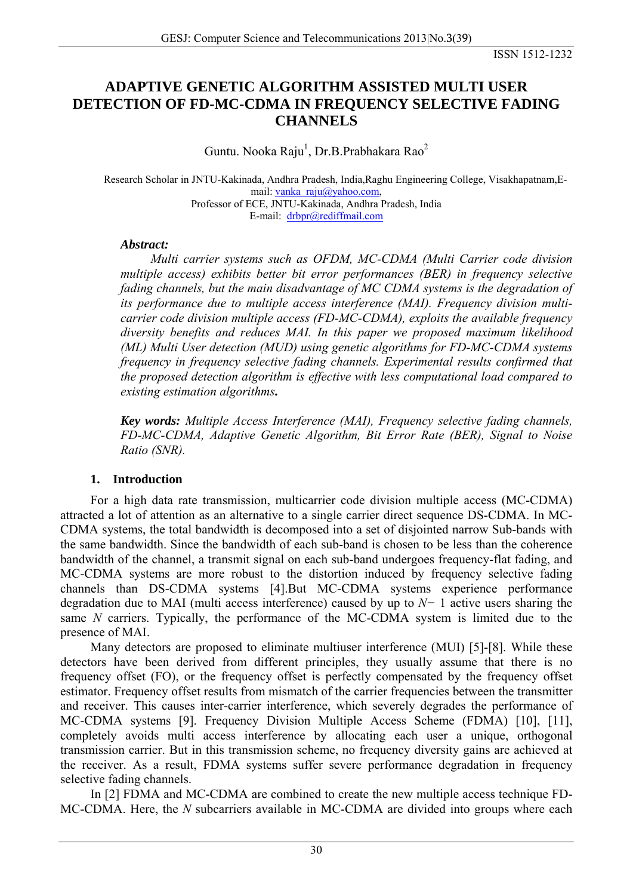# **ADAPTIVE GENETIC ALGORITHM ASSISTED MULTI USER DETECTION OF FD-MC-CDMA IN FREQUENCY SELECTIVE FADING CHANNELS**

Guntu. Nooka Raju<sup>1</sup>, Dr.B. Prabhakara Rao<sup>2</sup>

Research Scholar in JNTU-Kakinada, Andhra Pradesh, India,Raghu Engineering College, Visakhapatnam,Email: [vanka\\_raju@yahoo.com,](mailto:vanka_raju@yahoo.com) Professor of ECE, JNTU-Kakinada, Andhra Pradesh, India E-mail: [drbpr@rediffmail.com](mailto:drbpr@rediffmail.com)

## *Abstract:*

*Multi carrier systems such as OFDM, MC-CDMA (Multi Carrier code division multiple access) exhibits better bit error performances (BER) in frequency selective fading channels, but the main disadvantage of MC CDMA systems is the degradation of its performance due to multiple access interference (MAI). Frequency division multicarrier code division multiple access (FD-MC-CDMA), exploits the available frequency diversity benefits and reduces MAI. In this paper we proposed maximum likelihood (ML) Multi User detection (MUD) using genetic algorithms for FD-MC-CDMA systems frequency in frequency selective fading channels. Experimental results confirmed that the proposed detection algorithm is effective with less computational load compared to existing estimation algorithms.* 

*Key words: Multiple Access Interference (MAI), Frequency selective fading channels, FD-MC-CDMA, Adaptive Genetic Algorithm, Bit Error Rate (BER), Signal to Noise Ratio (SNR).* 

## **1. Introduction**

For a high data rate transmission, multicarrier code division multiple access (MC-CDMA) attracted a lot of attention as an alternative to a single carrier direct sequence DS-CDMA. In MC-CDMA systems, the total bandwidth is decomposed into a set of disjointed narrow Sub-bands with the same bandwidth. Since the bandwidth of each sub-band is chosen to be less than the coherence bandwidth of the channel, a transmit signal on each sub-band undergoes frequency-flat fading, and MC-CDMA systems are more robust to the distortion induced by frequency selective fading channels than DS-CDMA systems [4].But MC-CDMA systems experience performance degradation due to MAI (multi access interference) caused by up to *N−* 1 active users sharing the same *N* carriers. Typically, the performance of the MC-CDMA system is limited due to the presence of MAI.

Many detectors are proposed to eliminate multiuser interference (MUI) [5]-[8]. While these detectors have been derived from different principles, they usually assume that there is no frequency offset (FO), or the frequency offset is perfectly compensated by the frequency offset estimator. Frequency offset results from mismatch of the carrier frequencies between the transmitter and receiver. This causes inter-carrier interference, which severely degrades the performance of MC-CDMA systems [9]. Frequency Division Multiple Access Scheme (FDMA) [10], [11], completely avoids multi access interference by allocating each user a unique, orthogonal transmission carrier. But in this transmission scheme, no frequency diversity gains are achieved at the receiver. As a result, FDMA systems suffer severe performance degradation in frequency selective fading channels.

In [2] FDMA and MC-CDMA are combined to create the new multiple access technique FD-MC-CDMA. Here, the *N* subcarriers available in MC-CDMA are divided into groups where each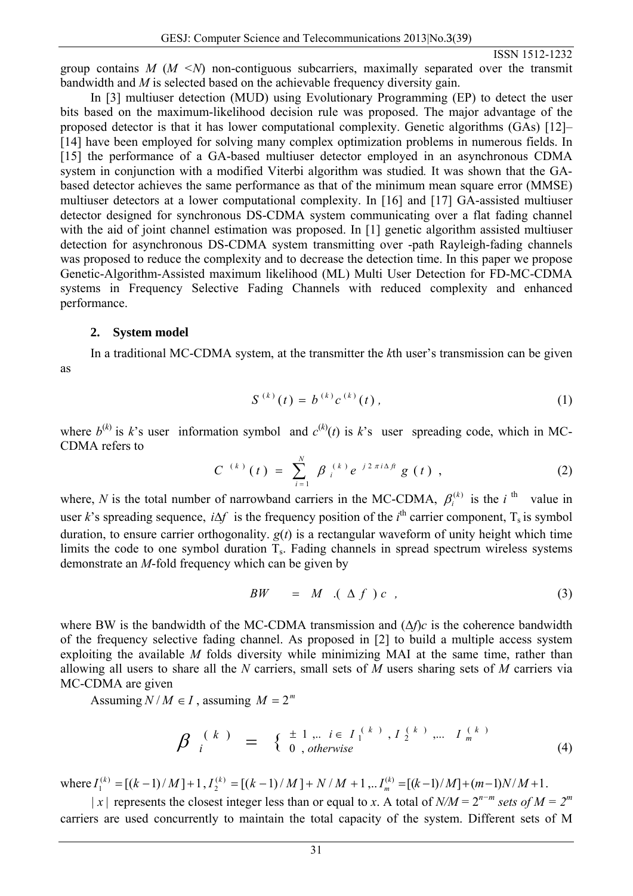ISSN 1512-1232

group contains *M* (*M <N*) non-contiguous subcarriers, maximally separated over the transmit bandwidth and *M* is selected based on the achievable frequency diversity gain.

In [3] multiuser detection (MUD) using Evolutionary Programming (EP) to detect the user bits based on the maximum-likelihood decision rule was proposed. The major advantage of the proposed detector is that it has lower computational complexity. Genetic algorithms (GAs) [12]– [14] have been employed for solving many complex optimization problems in numerous fields. In [15] the performance of a GA-based multiuser detector employed in an asynchronous CDMA system in conjunction with a modified Viterbi algorithm was studied*.* It was shown that the GAbased detector achieves the same performance as that of the minimum mean square error (MMSE) multiuser detectors at a lower computational complexity. In [16] and [17] GA-assisted multiuser detector designed for synchronous DS-CDMA system communicating over a flat fading channel with the aid of joint channel estimation was proposed. In [1] genetic algorithm assisted multiuser detection for asynchronous DS-CDMA system transmitting over -path Rayleigh-fading channels was proposed to reduce the complexity and to decrease the detection time. In this paper we propose Genetic-Algorithm-Assisted maximum likelihood (ML) Multi User Detection for FD-MC-CDMA systems in Frequency Selective Fading Channels with reduced complexity and enhanced performance.

#### **2. System model**

In a traditional MC-CDMA system, at the transmitter the *k*th user's transmission can be given as

$$
S^{(k)}(t) = b^{(k)} c^{(k)}(t), \qquad (1)
$$

where  $b^{(k)}$  is k's user information symbol and  $c^{(k)}(t)$  is k's user spreading code, which in MC-CDMA refers to

$$
C^{(k)}(t) = \sum_{i=1}^{N} \beta_i^{(k)} e^{j2\pi i \Delta \hat{H}} g(t), \qquad (2)
$$

where, *N* is the total number of narrowband carriers in the MC-CDMA,  $\beta_i^{(k)}$  is the *i*<sup>th</sup> value in user *k*'s spreading sequence,  $i\Delta f$  is the frequency position of the *i*<sup>th</sup> carrier component, T<sub>s</sub> is symbol duration, to ensure carrier orthogonality.  $g(t)$  is a rectangular waveform of unity height which time limits the code to one symbol duration  $T_s$ . Fading channels in spread spectrum wireless systems demonstrate an *M*-fold frequency which can be given by

$$
BW = M \cdot (\Delta f) c , \qquad (3)
$$

where BW is the bandwidth of the MC-CDMA transmission and (Δ*f*)*c* is the coherence bandwidth of the frequency selective fading channel. As proposed in [2] to build a multiple access system exploiting the available *M* folds diversity while minimizing MAI at the same time, rather than allowing all users to share all the *N* carriers, small sets of *M* users sharing sets of *M* carriers via MC-CDMA are given

Assuming  $N/M \in I$ , assuming  $M = 2^m$ 

$$
\beta_{i}^{(k)} = \begin{cases} \pm 1, & i \in I_{1}^{(k)}, I_{2}^{(k)}, \dots, I_{m}^{(k)} \\ 0, & otherwise \end{cases}
$$
\n(4)

where  $I_1^{(k)} = [(k-1)/M] + 1, I_2^{(k)} = [(k-1)/M] + N/M + 1, \ldots, I_m^{(k)} = [(k-1)/M] + (m-1)N/M + 1.$ 

*| x* | represents the closest integer less than or equal to *x*. A total of *N/M* =  $2^{n-m}$  *sets of M* =  $2^m$ carriers are used concurrently to maintain the total capacity of the system. Different sets of M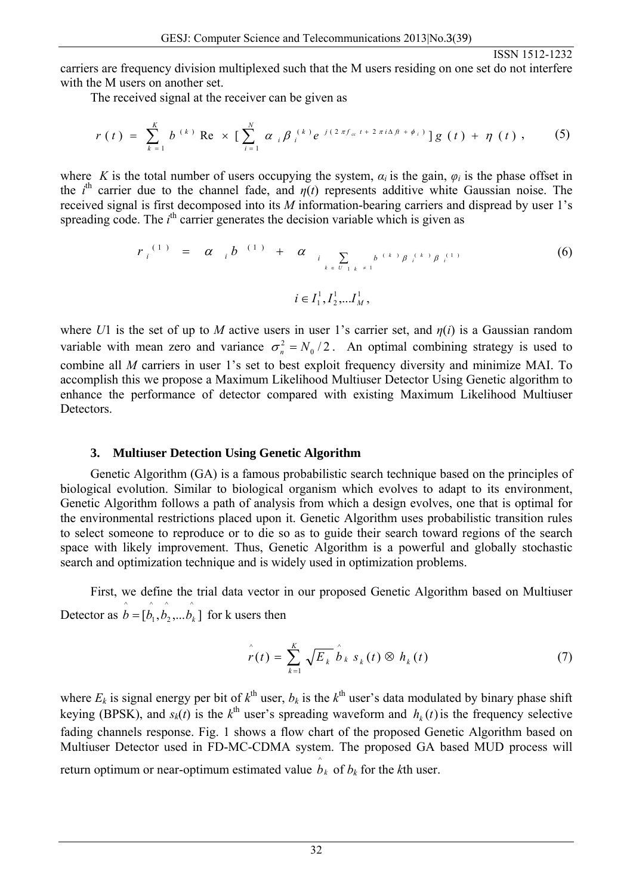carriers are frequency division multiplexed such that the M users residing on one set do not interfere with the M users on another set.

The received signal at the receiver can be given as

$$
r(t) = \sum_{k=1}^{K} b^{(k)} \operatorname{Re} \times \big[ \sum_{i=1}^{N} \alpha_{i} \beta_{i}^{(k)} e^{j(2 \pi f_{\alpha} t + 2 \pi i \Delta f_{i} + \phi_{i})} \big] g(t) + \eta(t), \qquad (5)
$$

where *K* is the total number of users occupying the system,  $\alpha_i$  is the gain,  $\varphi_i$  is the phase offset in the *i*<sup>th</sup> carrier due to the channel fade, and  $\eta(t)$  represents additive white Gaussian noise. The received signal is first decomposed into its *M* information-bearing carriers and dispread by user 1's spreading code. The  $i<sup>th</sup>$  carrier generates the decision variable which is given as

$$
r_{i}^{(1)} = \alpha_{i} b^{(1)} + \alpha_{i} \sum_{k \in U_{1,k} \neq 1} b^{(k)} \beta_{i}^{(k)} \beta_{i}^{(1)}
$$
(6)  

$$
i \in I_{1}^{1}, I_{2}^{1}, \dots I_{M}^{1},
$$

where *U*1 is the set of up to *M* active users in user 1's carrier set, and *η*(*i*) is a Gaussian random variable with mean zero and variance  $\sigma_n^2 = N_0/2$ . An optimal combining strategy is used to combine all *M* carriers in user 1's set to best exploit frequency diversity and minimize MAI. To accomplish this we propose a Maximum Likelihood Multiuser Detector Using Genetic algorithm to enhance the performance of detector compared with existing Maximum Likelihood Multiuser Detectors.

## **3. Multiuser Detection Using Genetic Algorithm**

Genetic Algorithm (GA) is a famous probabilistic search technique based on the principles of biological evolution. Similar to biological organism which evolves to adapt to its environment, Genetic Algorithm follows a path of analysis from which a design evolves, one that is optimal for the environmental restrictions placed upon it. Genetic Algorithm uses probabilistic transition rules to select someone to reproduce or to die so as to guide their search toward regions of the search space with likely improvement. Thus, Genetic Algorithm is a powerful and globally stochastic search and optimization technique and is widely used in optimization problems.

First, we define the trial data vector in our proposed Genetic Algorithm based on Multiuser Detector as  $\hat{b} = [\hat{b_1}, \hat{b_2}, \dots \hat{b_k}]$  for k users then ^ 1  $\hat{b} = [\hat{b}_1, \hat{b}_2, \dots, \hat{b}_k]$ 

$$
\hat{r}(t) = \sum_{k=1}^{K} \sqrt{E_k} \hat{b}_k s_k(t) \otimes h_k(t)
$$
 (7)

where  $E_k$  is signal energy per bit of  $k^{\text{th}}$  user,  $b_k$  is the  $k^{\text{th}}$  user's data modulated by binary phase shift keying (BPSK), and  $s_k(t)$  is the  $k^{\text{th}}$  user's spreading waveform and  $h_k(t)$  is the frequency selective fading channels response. Fig. 1 shows a flow chart of the proposed Genetic Algorithm based on Multiuser Detector used in FD-MC-CDMA system. The proposed GA based MUD process will return optimum or near-optimum estimated value  $\hat{b}_k$  of  $b_k$  for the *k*th user.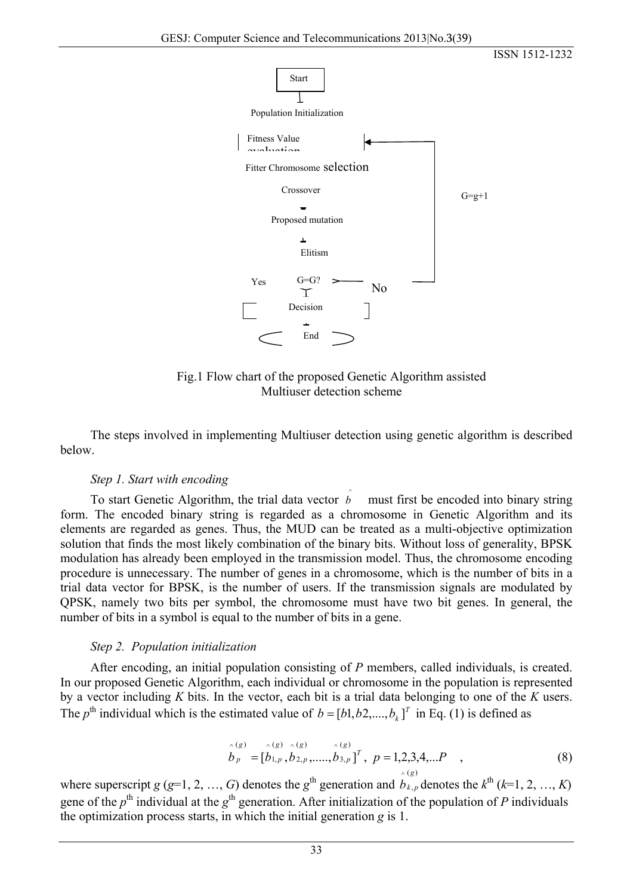

Fig.1 Flow chart of the proposed Genetic Algorithm assisted Multiuser detection scheme

The steps involved in implementing Multiuser detection using genetic algorithm is described below.

## *Step 1. Start with encoding*

To start Genetic Algorithm, the trial data vector  $\hat{b}$  must first be encoded into binary string form. The encoded binary string is regarded as a chromosome in Genetic Algorithm and its elements are regarded as genes. Thus, the MUD can be treated as a multi-objective optimization solution that finds the most likely combination of the binary bits. Without loss of generality, BPSK modulation has already been employed in the transmission model. Thus, the chromosome encoding procedure is unnecessary. The number of genes in a chromosome, which is the number of bits in a trial data vector for BPSK, is the number of users. If the transmission signals are modulated by QPSK, namely two bits per symbol, the chromosome must have two bit genes. In general, the number of bits in a symbol is equal to the number of bits in a gene.

## *Step 2. Population initialization*

After encoding, an initial population consisting of *P* members, called individuals, is created. In our proposed Genetic Algorithm, each individual or chromosome in the population is represented by a vector including *K* bits. In the vector, each bit is a trial data belonging to one of the *K* users. The  $p^{\text{th}}$  individual which is the estimated value of  $b = [b_1, b_2, ..., b_k]^T$  in Eq. (1) is defined as

$$
\hat{b}_p = [\hat{b}_{1,p}, \hat{b}_{2,p}, \dots, \hat{b}_{3,p}]^T, \ p = 1, 2, 3, 4, \dots P \quad ,
$$
\n(8)

where superscript *g* (*g*=1, 2, …, *G*) denotes the *g*<sup>th</sup> generation and  $\hat{b}_{k,p}$  denotes the  $k^{\text{th}}$  (*k*=1, 2, …, *K*) gene of the  $p^{\text{th}}$  individual at the  $g^{\text{th}}$  generation. After initialization of the population of *P* individuals the optimization process starts, in which the initial generation *g* is 1. ,  $b_{k,p}$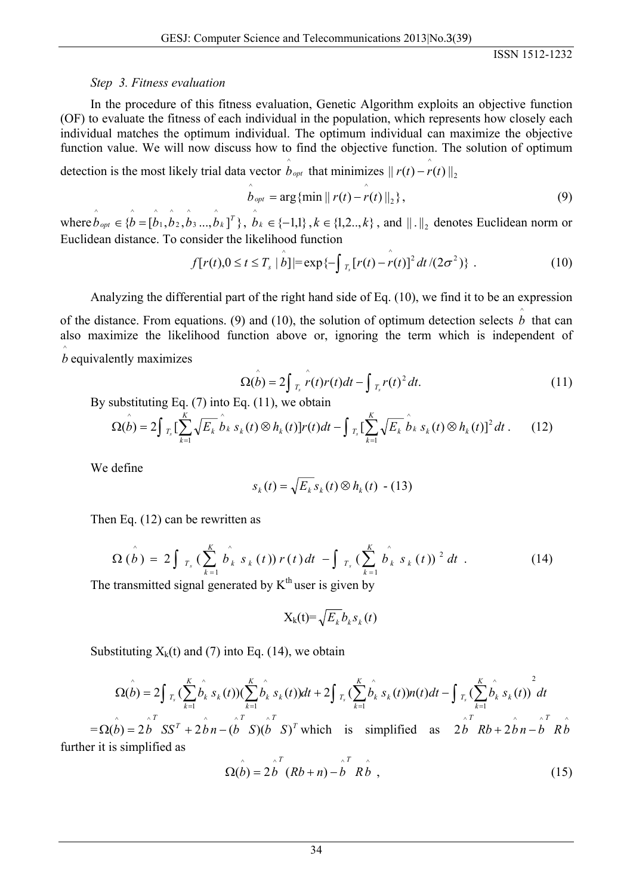## *Step 3. Fitness evaluation*

In the procedure of this fitness evaluation, Genetic Algorithm exploits an objective function (OF) to evaluate the fitness of each individual in the population, which represents how closely each individual matches the optimum individual. The optimum individual can maximize the objective function value. We will now discuss how to find the objective function. The solution of optimum

detection is the most likely trial data vector  $\hat{b}_{opt}$  that minimizes  $|| r(t) - r(t) ||_2$  $\| r(t) - r(t) \|$ 

$$
\hat{b}_{opt} = \arg \{ \min || r(t) - r(t) ||_2 \},
$$
\n(9)

where  $\hat{b}_{opt} \in \{\hat{b} = [\hat{b}_1, \hat{b}_2, \hat{b}_3, \dots, \hat{b}_k]^T\}, \hat{b}_k \in \{-1,1\}, k \in \{1,2,..,k\}$ , and  $||.||_2$  denotes Euclidean norm or  $\wedge$   $\wedge$ Euclidean distance. To consider the likelihood function

$$
f[r(t), 0 \le t \le T_s \mid \hat{b}] = \exp\{-\int_{T_s} [r(t) - r(t)]^2 dt / (2\sigma^2)\}.
$$
 (10)

Analyzing the differential part of the right hand side of Eq. (10), we find it to be an expression of the distance. From equations. (9) and (10), the solution of optimum detection selects  $\hat{b}$  that can also maximize the likelihood function above or, ignoring the term which is independent of  $\hat{b}$  equivalently maximizes

$$
\Omega(\hat{b}) = 2 \int_{T_s} \hat{r}(t) r(t) dt - \int_{T_s} r(t)^2 dt.
$$
 (11)

By substituting Eq.  $(7)$  into Eq.  $(11)$ , we obtain

$$
\Omega(\hat{b}) = 2 \int_{T_s} \left[ \sum_{k=1}^K \sqrt{E_k} \hat{b}_k \, s_k(t) \otimes h_k(t) \right] r(t) dt - \int_{T_s} \left[ \sum_{k=1}^K \sqrt{E_k} \hat{b}_k \, s_k(t) \otimes h_k(t) \right]^2 dt \,. \tag{12}
$$

We define

$$
s_k(t) = \sqrt{E_k} s_k(t) \otimes h_k(t) - (13)
$$

Then Eq. (12) can be rewritten as

$$
\Omega\left(\hat{b}\right) = 2 \int_{T_s} \left(\sum_{k=1}^K \hat{b_k} \, s_k\left(t\right)\right) r\left(t\right) dt \, - \int_{T_s} \left(\sum_{k=1}^K \hat{b_k} \, s_k\left(t\right)\right)^2 dt \, . \tag{14}
$$

The transmitted signal generated by  $K<sup>th</sup>$  user is given by

$$
X_k(t) = \sqrt{E_k} b_k s_k(t)
$$

Substituting  $X_k(t)$  and (7) into Eq. (14), we obtain

$$
\Omega(\hat{b}) = 2 \int_{T_s}^{\infty} \left( \sum_{k=1}^K \hat{b_k} \, s_k(t) \right) \left( \sum_{k=1}^K \hat{b_k} \, s_k(t) \right) dt + 2 \int_{T_s}^{\infty} \left( \sum_{k=1}^K \hat{b_k} \, s_k(t) \right) n(t) dt - \int_{T_s}^{\infty} \left( \sum_{k=1}^K \hat{b_k} \, s_k(t) \right)^2 dt
$$

 $T = \Omega(\hat{b}) = 2\hat{b}^T S S^T + 2\hat{b}n - (\hat{b}^T S)(\hat{b}^T S)^T$  which is simplified as  $2\hat{b}^T Rb + 2\hat{b}n - \hat{b}^T R\hat{b}$ further it is simplified as

$$
\Omega(\stackrel{\wedge}{b}) = 2\stackrel{\wedge}{b}^{T} (Rb + n) - \stackrel{\wedge}{b}^{T} R\stackrel{\wedge}{b} , \qquad (15)
$$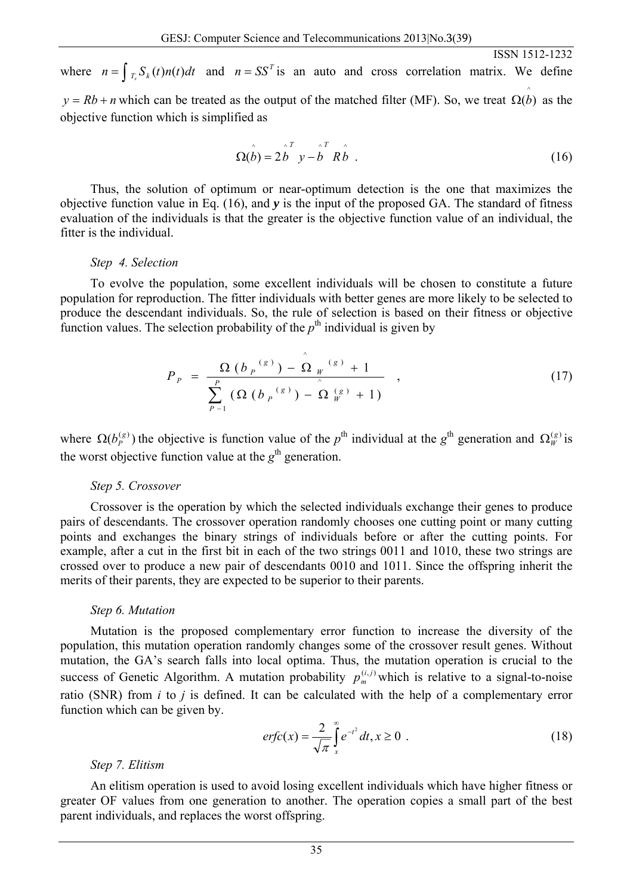where  $n = \int_{T_s} S_k(t) n(t) dt$  and  $n = SS^T$  is an auto and cross correlation matrix. We define  $y = Rb + n$  which can be treated as the output of the matched filter (MF). So, we treat  $\Omega(\hat{b})$  as the objective function which is simplified as

$$
\Omega(\stackrel{\wedge}{b}) = 2\stackrel{\wedge}{b}^T y - \stackrel{\wedge}{b}^T R \stackrel{\wedge}{b} \tag{16}
$$

ISSN 1512-1232

Thus, the solution of optimum or near-optimum detection is the one that maximizes the objective function value in Eq. (16), and *y* is the input of the proposed GA. The standard of fitness evaluation of the individuals is that the greater is the objective function value of an individual, the fitter is the individual.

#### *Step 4. Selection*

To evolve the population, some excellent individuals will be chosen to constitute a future population for reproduction. The fitter individuals with better genes are more likely to be selected to produce the descendant individuals. So, the rule of selection is based on their fitness or objective function values. The selection probability of the  $p<sup>th</sup>$  individual is given by

$$
P_{p} = \frac{\Omega (b_{p}^{(s)}) - \hat{\Omega}_{W}^{(s)} + 1}{\sum_{p=1}^{P} (\Omega (b_{p}^{(s)}) - \hat{\Omega}_{W}^{(s)} + 1)},
$$
\n(17)

where  $\Omega(b_p^{(g)})$  the objective is function value of the *p*<sup>th</sup> individual at the *g*<sup>th</sup> generation and  $\Omega_W^{(g)}$  is the worst objective function value at the  $g<sup>th</sup>$  generation.

#### *Step 5. Crossover*

Crossover is the operation by which the selected individuals exchange their genes to produce pairs of descendants. The crossover operation randomly chooses one cutting point or many cutting points and exchanges the binary strings of individuals before or after the cutting points. For example, after a cut in the first bit in each of the two strings 0011 and 1010, these two strings are crossed over to produce a new pair of descendants 0010 and 1011. Since the offspring inherit the merits of their parents, they are expected to be superior to their parents.

#### *Step 6. Mutation*

Mutation is the proposed complementary error function to increase the diversity of the population, this mutation operation randomly changes some of the crossover result genes. Without mutation, the GA's search falls into local optima. Thus, the mutation operation is crucial to the success of Genetic Algorithm. A mutation probability  $p_m^{(i,j)}$  which is relative to a signal-to-noise ratio (SNR) from *i* to *j* is defined. It can be calculated with the help of a complementary error function which can be given by.

$$
erfc(x) = \frac{2}{\sqrt{\pi}} \int_{x}^{\infty} e^{-t^2} dt, x \ge 0.
$$
 (18)

### *Step 7. Elitism*

An elitism operation is used to avoid losing excellent individuals which have higher fitness or greater OF values from one generation to another. The operation copies a small part of the best parent individuals, and replaces the worst offspring.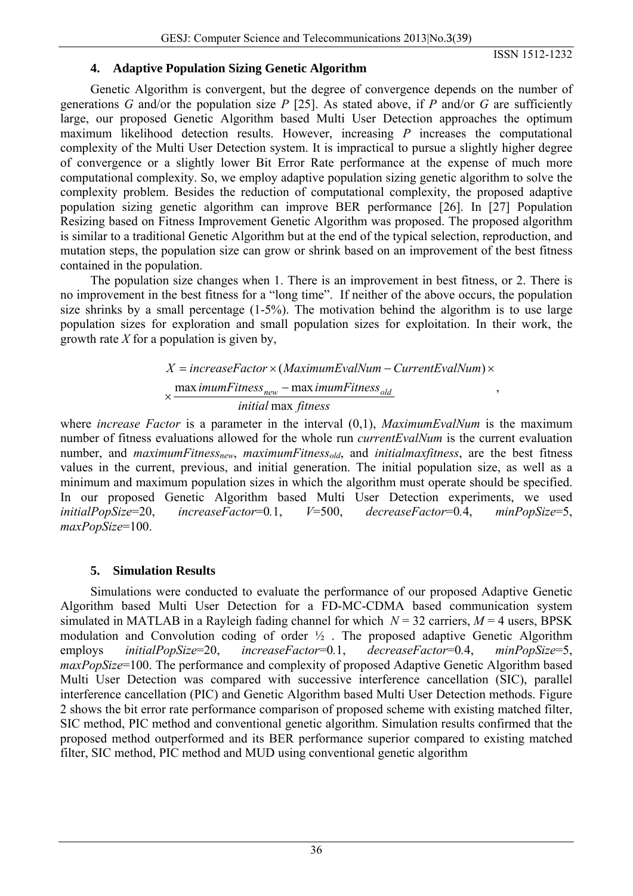ISSN 1512-1232

## **4. Adaptive Population Sizing Genetic Algorithm**

Genetic Algorithm is convergent, but the degree of convergence depends on the number of generations *G* and/or the population size *P* [25]. As stated above, if *P* and/or *G* are sufficiently large, our proposed Genetic Algorithm based Multi User Detection approaches the optimum maximum likelihood detection results. However, increasing *P* increases the computational complexity of the Multi User Detection system. It is impractical to pursue a slightly higher degree of convergence or a slightly lower Bit Error Rate performance at the expense of much more computational complexity. So, we employ adaptive population sizing genetic algorithm to solve the complexity problem. Besides the reduction of computational complexity, the proposed adaptive population sizing genetic algorithm can improve BER performance [26]. In [27] Population Resizing based on Fitness Improvement Genetic Algorithm was proposed. The proposed algorithm is similar to a traditional Genetic Algorithm but at the end of the typical selection, reproduction, and mutation steps, the population size can grow or shrink based on an improvement of the best fitness contained in the population.

The population size changes when 1. There is an improvement in best fitness, or 2. There is no improvement in the best fitness for a "long time". If neither of the above occurs, the population size shrinks by a small percentage (1-5%). The motivation behind the algorithm is to use large population sizes for exploration and small population sizes for exploitation. In their work, the growth rate *X* for a population is given by,

> *initial* max *fitness imumFitness<sub>new</sub>* − max *imumFitness<sub>old</sub>*<br>
> → *new maximumFitness<sub>old</sub>*  $X = increaseFactor \times (MaximumEvalNum - CurrentEvalNum) \times$ ,

where *increase Factor* is a parameter in the interval (0,1), *MaximumEvalNum* is the maximum number of fitness evaluations allowed for the whole run *currentEvalNum* is the current evaluation number, and *maximumFitness<sub>new</sub>*, *maximumFitness<sub>old</sub>*, and *initialmaxfitness*, are the best fitness values in the current, previous, and initial generation. The initial population size, as well as a minimum and maximum population sizes in which the algorithm must operate should be specified. In our proposed Genetic Algorithm based Multi User Detection experiments, we used *initialPopSize*=20, *increaseFactor*=0*.*1, *V*=500, *decreaseFactor*=0*.*4, *minPopSize*=5, *maxPopSize*=100.

# **5. Simulation Results**

Simulations were conducted to evaluate the performance of our proposed Adaptive Genetic Algorithm based Multi User Detection for a FD-MC-CDMA based communication system simulated in MATLAB in a Rayleigh fading channel for which  $N = 32$  carriers,  $M = 4$  users, BPSK modulation and Convolution coding of order ½ . The proposed adaptive Genetic Algorithm employs *initialPopSize*=20, *increaseFactor*=0*.*1, *decreaseFactor*=0*.*4, *minPopSize*=5, *maxPopSize*=100. The performance and complexity of proposed Adaptive Genetic Algorithm based Multi User Detection was compared with successive interference cancellation (SIC), parallel interference cancellation (PIC) and Genetic Algorithm based Multi User Detection methods. Figure 2 shows the bit error rate performance comparison of proposed scheme with existing matched filter, SIC method, PIC method and conventional genetic algorithm. Simulation results confirmed that the proposed method outperformed and its BER performance superior compared to existing matched filter, SIC method, PIC method and MUD using conventional genetic algorithm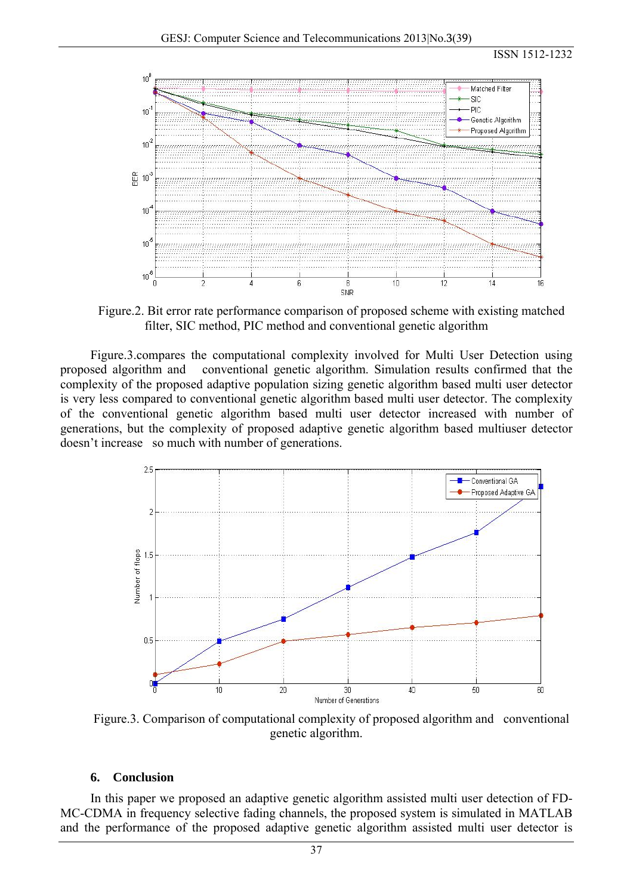

Figure.2. Bit error rate performance comparison of proposed scheme with existing matched filter, SIC method, PIC method and conventional genetic algorithm

Figure.3.compares the computational complexity involved for Multi User Detection using proposed algorithm and conventional genetic algorithm. Simulation results confirmed that the complexity of the proposed adaptive population sizing genetic algorithm based multi user detector is very less compared to conventional genetic algorithm based multi user detector. The complexity of the conventional genetic algorithm based multi user detector increased with number of generations, but the complexity of proposed adaptive genetic algorithm based multiuser detector doesn't increase so much with number of generations.



Figure.3. Comparison of computational complexity of proposed algorithm and conventional genetic algorithm.

#### **6. Conclusion**

In this paper we proposed an adaptive genetic algorithm assisted multi user detection of FD-MC-CDMA in frequency selective fading channels, the proposed system is simulated in MATLAB and the performance of the proposed adaptive genetic algorithm assisted multi user detector is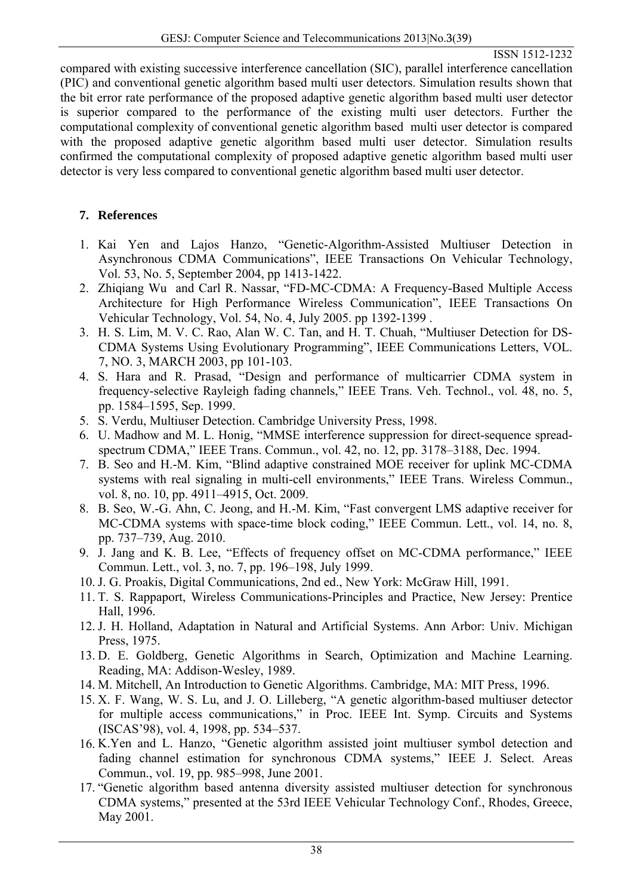## ISSN 1512-1232

compared with existing successive interference cancellation (SIC), parallel interference cancellation (PIC) and conventional genetic algorithm based multi user detectors. Simulation results shown that the bit error rate performance of the proposed adaptive genetic algorithm based multi user detector is superior compared to the performance of the existing multi user detectors. Further the computational complexity of conventional genetic algorithm based multi user detector is compared with the proposed adaptive genetic algorithm based multi user detector. Simulation results confirmed the computational complexity of proposed adaptive genetic algorithm based multi user detector is very less compared to conventional genetic algorithm based multi user detector.

# **7. References**

- 1. Kai Yen and Lajos Hanzo, "Genetic-Algorithm-Assisted Multiuser Detection in Asynchronous CDMA Communications", IEEE Transactions On Vehicular Technology, Vol. 53, No. 5, September 2004, pp 1413-1422.
- 2. Zhiqiang Wu and Carl R. Nassar, "FD-MC-CDMA: A Frequency-Based Multiple Access Architecture for High Performance Wireless Communication", IEEE Transactions On Vehicular Technology, Vol. 54, No. 4, July 2005. pp 1392-1399 .
- 3. H. S. Lim, M. V. C. Rao, Alan W. C. Tan, and H. T. Chuah, "Multiuser Detection for DS-CDMA Systems Using Evolutionary Programming", IEEE Communications Letters, VOL. 7, NO. 3, MARCH 2003, pp 101-103.
- 4. S. Hara and R. Prasad, "Design and performance of multicarrier CDMA system in frequency-selective Rayleigh fading channels," IEEE Trans. Veh. Technol., vol. 48, no. 5, pp. 1584–1595, Sep. 1999.
- 5. S. Verdu, Multiuser Detection. Cambridge University Press, 1998.
- 6. U. Madhow and M. L. Honig, "MMSE interference suppression for direct-sequence spreadspectrum CDMA," IEEE Trans. Commun., vol. 42, no. 12, pp. 3178–3188, Dec. 1994.
- 7. B. Seo and H.-M. Kim, "Blind adaptive constrained MOE receiver for uplink MC-CDMA systems with real signaling in multi-cell environments," IEEE Trans. Wireless Commun., vol. 8, no. 10, pp. 4911–4915, Oct. 2009.
- 8. B. Seo, W.-G. Ahn, C. Jeong, and H.-M. Kim, "Fast convergent LMS adaptive receiver for MC-CDMA systems with space-time block coding," IEEE Commun. Lett., vol. 14, no. 8, pp. 737–739, Aug. 2010.
- 9. J. Jang and K. B. Lee, "Effects of frequency offset on MC-CDMA performance," IEEE Commun. Lett., vol. 3, no. 7, pp. 196–198, July 1999.
- 10. J. G. Proakis, Digital Communications, 2nd ed., New York: McGraw Hill, 1991.
- 11. T. S. Rappaport, Wireless Communications-Principles and Practice, New Jersey: Prentice Hall, 1996.
- 12. J. H. Holland, Adaptation in Natural and Artificial Systems. Ann Arbor: Univ. Michigan Press, 1975.
- 13. D. E. Goldberg, Genetic Algorithms in Search, Optimization and Machine Learning. Reading, MA: Addison-Wesley, 1989.
- 14. M. Mitchell, An Introduction to Genetic Algorithms. Cambridge, MA: MIT Press, 1996.
- 15. X. F. Wang, W. S. Lu, and J. O. Lilleberg, "A genetic algorithm-based multiuser detector for multiple access communications," in Proc. IEEE Int. Symp. Circuits and Systems (ISCAS'98), vol. 4, 1998, pp. 534–537.
- 16. K.Yen and L. Hanzo, "Genetic algorithm assisted joint multiuser symbol detection and fading channel estimation for synchronous CDMA systems," IEEE J. Select. Areas Commun., vol. 19, pp. 985–998, June 2001.
- 17. "Genetic algorithm based antenna diversity assisted multiuser detection for synchronous CDMA systems," presented at the 53rd IEEE Vehicular Technology Conf., Rhodes, Greece, May 2001.